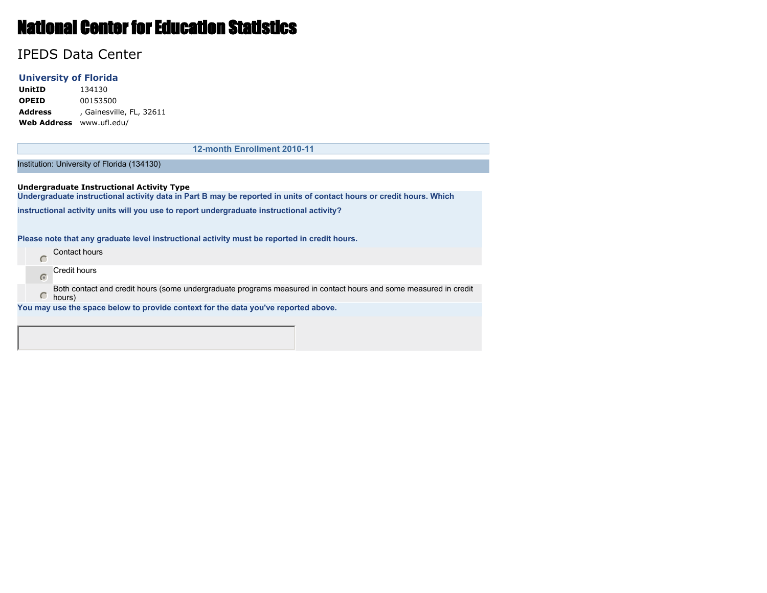# National Center for Education Statistics

## IPEDS Data Center

#### **University of Florida**

**UnitID** 134130 **OPEID** 00153500 **Address** , Gainesville, FL, 32611 **Web Address** www.ufl.edu/

**12-month Enrollment 2010-11**

Institution: University of Florida (134130)

**Undergraduate Instructional Activity Type Undergraduate instructional activity data in Part B may be reported in units of contact hours or credit hours. Which instructional activity units will you use to report undergraduate instructional activity?**

**Please note that any graduate level instructional activity must be reported in credit hours.**

Contact hours Credit hours  $\sqrt{2}$ Both contact and credit hours (some undergraduate programs measured in contact hours and some measured in credit  $\circ$ hours) **You may use the space below to provide context for the data you've reported above.**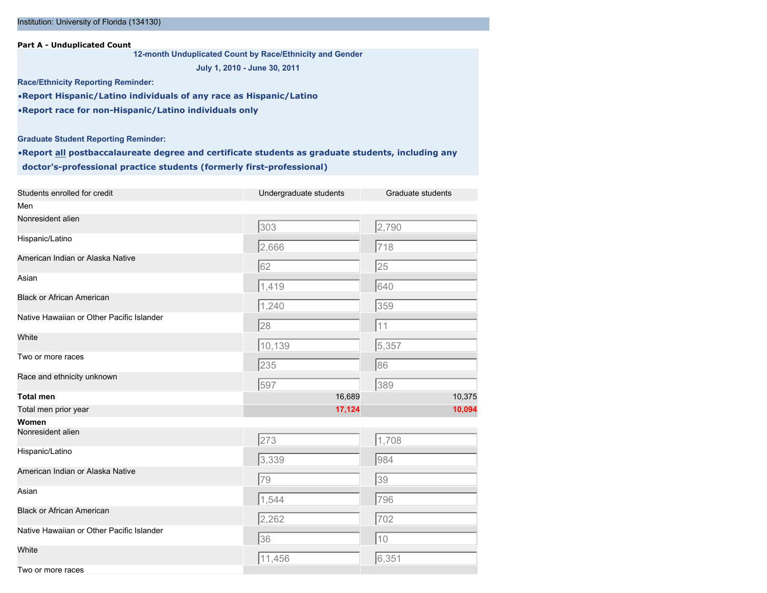#### Institution: University of Florida (134130)

**Part A - Unduplicated Count**

**12-month Unduplicated Count by Race/Ethnicity and Gender**

**July 1, 2010 - June 30, 2011**

**Race/Ethnicity Reporting Reminder:**

•**Report Hispanic/Latino individuals of any race as Hispanic/Latino** •**Report race for non-Hispanic/Latino individuals only**

**Graduate Student Reporting Reminder:**

•**Report all postbaccalaureate degree and certificate students as graduate students, including any doctor's-professional practice students (formerly first-professional)**

| Students enrolled for credit              | Undergraduate students | Graduate students |
|-------------------------------------------|------------------------|-------------------|
| Men                                       |                        |                   |
| Nonresident alien                         | $\sqrt{303}$           | 2,790             |
| Hispanic/Latino                           | 2,666                  | 718               |
| American Indian or Alaska Native          | 62                     | 25                |
| Asian                                     | 1,419                  | 640               |
| <b>Black or African American</b>          | 1,240                  | 359               |
| Native Hawaiian or Other Pacific Islander | 28                     | 11                |
| White                                     | 10,139                 | 5,357             |
| Two or more races                         | 235                    | 86                |
| Race and ethnicity unknown                | 597                    | 389               |
| <b>Total men</b>                          | 16,689                 | 10,375            |
| Total men prior year                      | 17,124                 | 10,094            |
| Women                                     |                        |                   |
| Nonresident alien                         | 273                    | 1,708             |
| Hispanic/Latino                           | 3,339                  | 984               |
| American Indian or Alaska Native          | 79                     | 39                |
| Asian                                     | 1,544                  | 796               |
| <b>Black or African American</b>          | 2,262                  | 702               |
| Native Hawaiian or Other Pacific Islander | 36                     | 10                |
| White                                     | 11,456                 | 6,351             |
| Two or more races                         |                        |                   |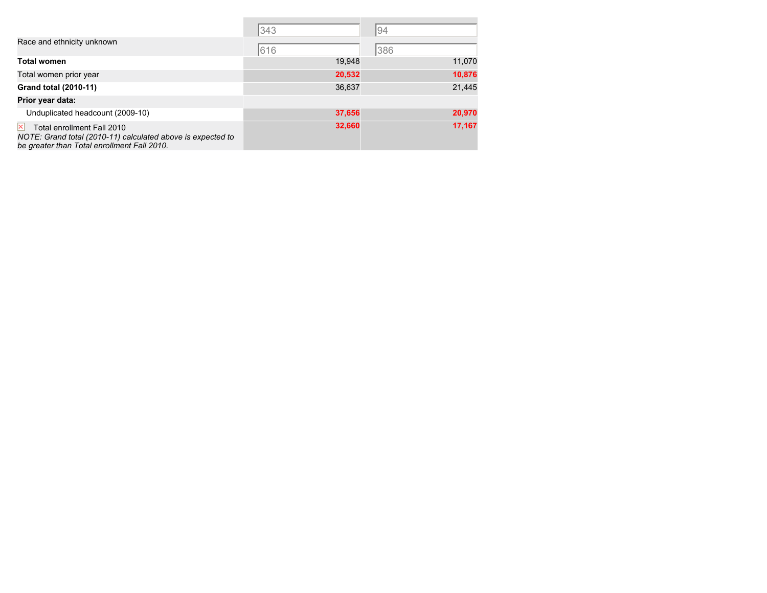|                                                                                                                                                             | 343    | 94     |
|-------------------------------------------------------------------------------------------------------------------------------------------------------------|--------|--------|
| Race and ethnicity unknown                                                                                                                                  | 616    | 386    |
| <b>Total women</b>                                                                                                                                          | 19,948 | 11,070 |
| Total women prior year                                                                                                                                      | 20,532 | 10,876 |
| Grand total (2010-11)                                                                                                                                       | 36,637 | 21,445 |
| Prior year data:                                                                                                                                            |        |        |
| Unduplicated headcount (2009-10)                                                                                                                            | 37,656 | 20,970 |
| $\vert x \vert$<br>Total enrollment Fall 2010<br>NOTE: Grand total (2010-11) calculated above is expected to<br>be greater than Total enrollment Fall 2010. | 32,660 | 17,167 |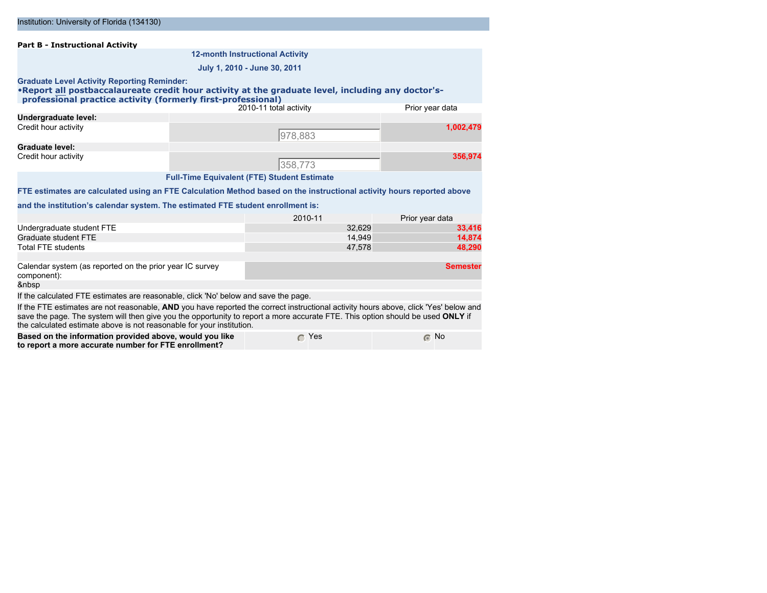| <b>Part B - Instructional Activity</b>                                                                                                                                                                                                                                                                                                          |                                                    |                 |
|-------------------------------------------------------------------------------------------------------------------------------------------------------------------------------------------------------------------------------------------------------------------------------------------------------------------------------------------------|----------------------------------------------------|-----------------|
|                                                                                                                                                                                                                                                                                                                                                 | <b>12-month Instructional Activity</b>             |                 |
|                                                                                                                                                                                                                                                                                                                                                 | July 1, 2010 - June 30, 2011                       |                 |
| <b>Graduate Level Activity Reporting Reminder:</b><br>.Report all postbaccalaureate credit hour activity at the graduate level, including any doctor's-<br>professional practice activity (formerly first-professional)                                                                                                                         |                                                    |                 |
|                                                                                                                                                                                                                                                                                                                                                 | 2010-11 total activity                             | Prior year data |
| Undergraduate level:                                                                                                                                                                                                                                                                                                                            |                                                    |                 |
| Credit hour activity                                                                                                                                                                                                                                                                                                                            | 978,883                                            | 1,002,479       |
| <b>Graduate level:</b>                                                                                                                                                                                                                                                                                                                          |                                                    |                 |
| Credit hour activity                                                                                                                                                                                                                                                                                                                            | 358,773                                            | 356,974         |
|                                                                                                                                                                                                                                                                                                                                                 | <b>Full-Time Equivalent (FTE) Student Estimate</b> |                 |
| FTE estimates are calculated using an FTE Calculation Method based on the instructional activity hours reported above                                                                                                                                                                                                                           |                                                    |                 |
| and the institution's calendar system. The estimated FTE student enrollment is:                                                                                                                                                                                                                                                                 |                                                    |                 |
|                                                                                                                                                                                                                                                                                                                                                 | 2010-11                                            | Prior year data |
| Undergraduate student FTE                                                                                                                                                                                                                                                                                                                       | 32,629                                             | 33,416          |
| Graduate student FTE                                                                                                                                                                                                                                                                                                                            | 14,949                                             | 14,874          |
| <b>Total FTE students</b>                                                                                                                                                                                                                                                                                                                       | 47.578                                             | 48.290          |
| Calendar system (as reported on the prior year IC survey<br>component):<br>                                                                                                                                                                                                                                                                     |                                                    | <b>Semester</b> |
|                                                                                                                                                                                                                                                                                                                                                 |                                                    |                 |
| If the calculated FTE estimates are reasonable, click 'No' below and save the page.                                                                                                                                                                                                                                                             |                                                    |                 |
| If the FTE estimates are not reasonable. AND you have reported the correct instructional activity hours above, click 'Yes' below and<br>save the page. The system will then give you the opportunity to report a more accurate FTE. This option should be used ONLY if<br>the calculated estimate above is not reasonable for your institution. |                                                    |                 |
| Based on the information provided above, would you like<br>to report a more accurate number for FTE enrollment?                                                                                                                                                                                                                                 | $\subset$ Yes                                      | $\odot$ No      |

Institution: University of Florida (134130)